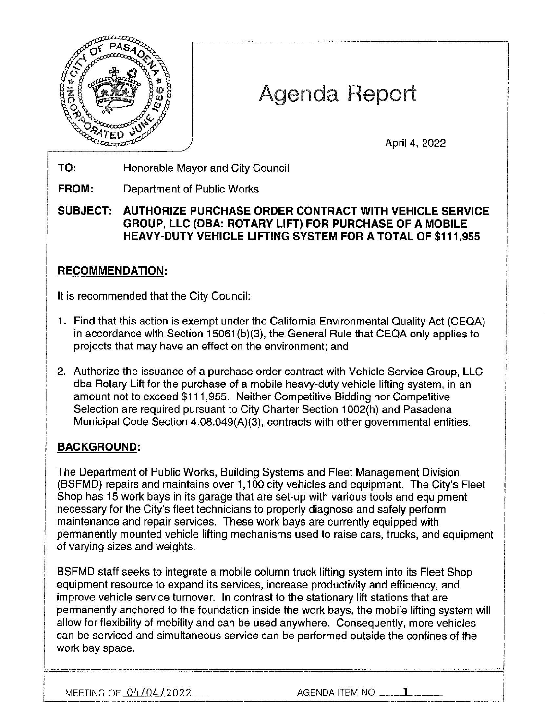

# Agenda Report

April 4, 2022

**TO:**  Honorable Mayor and City Council

**FROM:**  Department of Public Works

**SUBJECT: AUTHORIZE PURCHASE ORDER CONTRACT WITH VEHICLE SERVICE GROUP, LLC (OBA: ROTARY LIFT) FOR PURCHASE OF A MOBILE HEAVY-DUTY VEHICLE LIFTING SYSTEM FOR A TOTAL OF \$111,955** 

### **RECOMMENDATION:**

It is recommended that the City Council:

- 1. Find that this action is exempt under the California Environmental Quality Act (CEQA) in accordance with Section 15061 (b)(3), the General Rule that CEQA only applies to projects that may have an effect on the environment; and
- 2. Authorize the issuance of a purchase order contract with Vehicle Service Group, LLC dba Rotary Lift for the purchase of a mobile heavy-duty vehicle lifting system, in an amount not to exceed \$111,955. Neither Competitive Bidding nor Competitive Selection are required pursuant to City Charter Section 1002(h) and Pasadena Municipal Code Section 4.08.049(A)(3), contracts with other governmental entities.

## **BACKGROUND:**

The Department of Public Works, Building Systems and Fleet Management Division (BSFMD) repairs and maintains over 1,100 city vehicles and equipment. The City's Fleet Shop has 15 work bays in its garage that are set-up with various tools and equipment necessary for the City's fleet technicians to properly diagnose and safely perform maintenance and repair services. These work bays are currently equipped with permanently mounted vehicle lifting mechanisms used to raise cars, trucks, and equipment of varying sizes and weights.

BSFMD staff seeks to integrate a mobile column truck lifting system into its Fleet Shop equipment resource to expand its services, increase productivity and efficiency, and improve vehicle service turnover. In contrast to the stationary lift stations that are permanently anchored to the foundation inside the work bays, the mobile lifting system will allow for flexibility of mobility and can be used anywhere. Consequently, more vehicles can be serviced and simultaneous service can be performed outside the confines of the work bay space.

MEETING OF  $04/04/2022$   $\qquad$  AGENDA ITEM NO.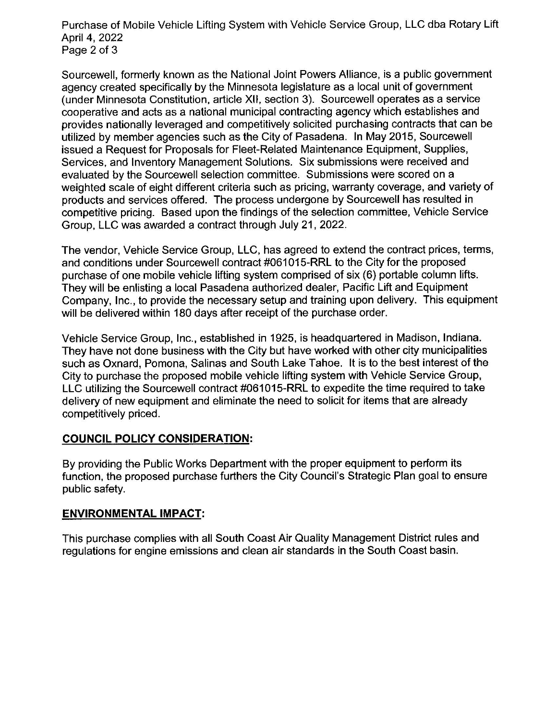Purchase of Mobile Vehicle Lifting System with Vehicle Service Group, LLC dba Rotary Lift April 4, 2022 Page 2 of 3

Sourcewell, formerly known as the National Joint Powers Alliance, is a public government agency created specifically by the Minnesota legislature as a local unit of government (under Minnesota Constitution, article XII, section 3). Sourcewell operates as a service cooperative and acts as a national municipal contracting agency which establishes and provides nationally leveraged and competitively solicited purchasing contracts that can be utilized by member agencies such as the City of Pasadena. In May 2015, Sourcewe11 issued a Request for Proposals for Fleet-Related Maintenance Equipment, Supplies, Services, and Inventory Management Solutions. Six submissions were received and evaluated by the Sourcewell selection committee. Submissions were scored on a weighted scale of eight different criteria such as pricing, warranty coverage, and variety of products and services offered. The process undergone by Sourcewell has resulted in competitive pricing. Based upon the findings of the selection committee, Vehicle Service Group, LLC was awarded a contract through July 21, 2022.

The vendor, Vehicle Service Group, LLC, has agreed to extend the contract prices, terms, and conditions under Sourcewell contract #061015-RRL to the City for the proposed purchase of one mobile vehicle lifting system comprised of six (6) portable column lifts. They will be enlisting a local Pasadena authorized dealer, Pacific Lift and Equipment Company, Inc., to provide the necessary setup and training upon delivery. This equipment will be delivered within 180 days after receipt of the purchase order.

Vehicle Service Group, Inc., established in 1925, is headquartered in Madison, Indiana. They have not done business with the City but have worked with other city municipalities such as Oxnard, Pomona, Salinas and South Lake Tahoe. It is to the best interest of the City to purchase the proposed mobile vehicle lifting system with Vehicle Service Group, LLC utilizing the Sourcewell contract #061015-RRL to expedite the time required to take delivery of new equipment and eliminate the need to solicit for items that are already competitively priced.

#### **COUNCIL POLICY CONSIDERATION:**

By providing the Public Works Department with the proper equipment to perform its function, the proposed purchase furthers the City Council's Strategic Plan goal to ensure public safety.

#### **ENVIRONMENTAL IMPACT:**

This purchase complies with all South Coast Air Quality Management District rules and regulations for engine emissions and clean air standards in the South Coast basin.